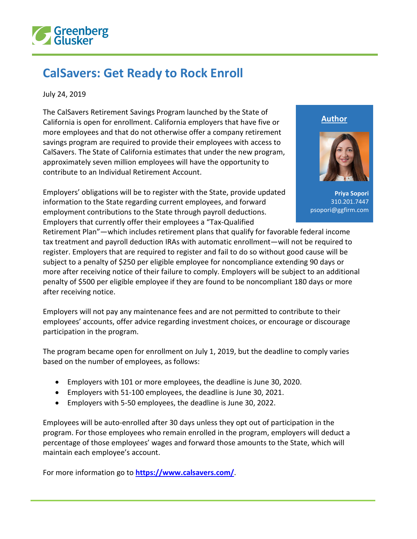

## **CalSavers: Get Ready to Rock Enroll**

July 24, 2019

The CalSavers Retirement Savings Program launched by the State of California is open for enrollment. California employers that have five or more employees and that do not otherwise offer a company retirement savings program are required to provide their employees with access to CalSavers. The State of California estimates that under the new program, approximately seven million employees will have the opportunity to contribute to an Individual Retirement Account.

Employers' obligations will be to register with the State, provide updated information to the State regarding current employees, and forward employment contributions to the State through payroll deductions. Employers that currently offer their employees a "Tax-Qualified

**Author**



**Priya Sopori** 310.201.7447 psopori@ggfirm.com

Retirement Plan"—which includes retirement plans that qualify for favorable federal income tax treatment and payroll deduction IRAs with automatic enrollment—will not be required to register. Employers that are required to register and fail to do so without good cause will be subject to a penalty of \$250 per eligible employee for noncompliance extending 90 days or more after receiving notice of their failure to comply. Employers will be subject to an additional penalty of \$500 per eligible employee if they are found to be noncompliant 180 days or more after receiving notice.

Employers will not pay any maintenance fees and are not permitted to contribute to their employees' accounts, offer advice regarding investment choices, or encourage or discourage participation in the program.

The program became open for enrollment on July 1, 2019, but the deadline to comply varies based on the number of employees, as follows:

- Employers with 101 or more employees, the deadline is June 30, 2020.
- Employers with 51-100 employees, the deadline is June 30, 2021.
- Employers with 5-50 employees, the deadline is June 30, 2022.

Employees will be auto-enrolled after 30 days unless they opt out of participation in the program. For those employees who remain enrolled in the program, employers will deduct a percentage of those employees' wages and forward those amounts to the State, which will maintain each employee's account.

For more information go to **<https://www.calsavers.com/>**.